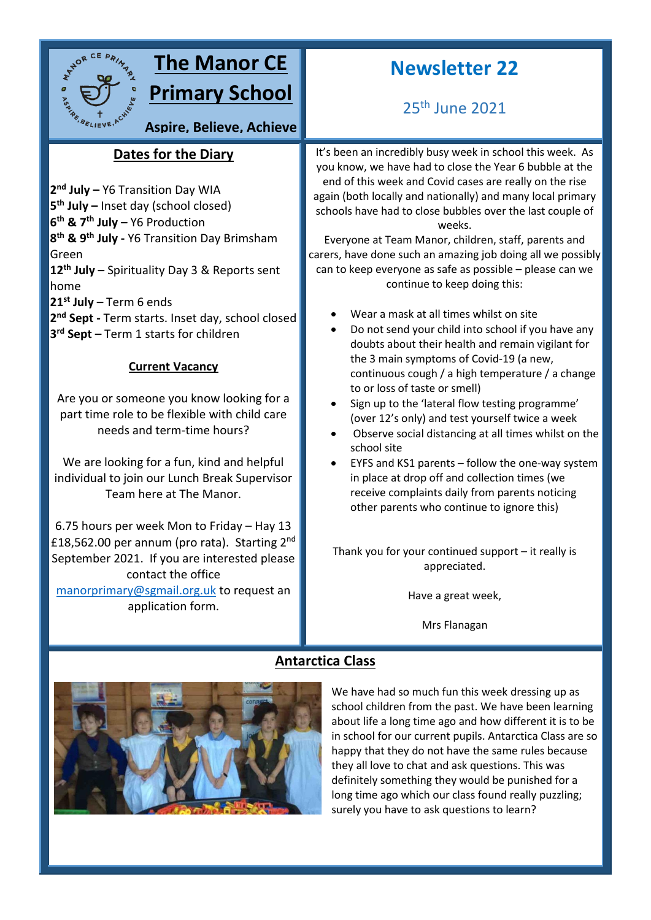

# **The Manor CE Primary School**

**Aspire, Believe, Achieve**

### **Dates for the Diary sky**

 **nd July –** Y6 Transition Day WIA **th July –** Inset day (school closed) **th & 7th July –** Y6 Production **th & 9th July -** Y6 Transition Day Brimsham Green **th July –** Spirituality Day 3 & Reports sent home **st July –** Term 6 ends **nd Sept -** Term starts. Inset day, school closed **rd Sept –** Term 1 starts for children

#### **Current Vacancy**

Are you or someone you know looking for a part time role to be flexible with child care needs and term-time hours?

We are looking for a fun, kind and helpful individual to join our Lunch Break Supervisor Team here at The Manor.

6.75 hours per week Mon to Friday – Hay 13 £18,562.00 per annum (pro rata). Starting 2<sup>nd</sup> September 2021. If you are interested please contact the office

[manorprimary@sgmail.org.uk](mailto:manorprimary@sgmail.org.uk) to request an application form.

# **Newsletter 22**

## 25th June 2021

It's been an incredibly busy week in school this week. As you know, we have had to close the Year 6 bubble at the end of this week and Covid cases are really on the rise again (both locally and nationally) and many local primary schools have had to close bubbles over the last couple of weeks.

Everyone at Team Manor, children, staff, parents and carers, have done such an amazing job doing all we possibly can to keep everyone as safe as possible – please can we continue to keep doing this:

- Wear a mask at all times whilst on site
- Do not send your child into school if you have any doubts about their health and remain vigilant for the 3 main symptoms of Covid-19 (a new, continuous cough / a high temperature / a change to or loss of taste or smell)
- Sign up to the 'lateral flow testing programme' (over 12's only) and test yourself twice a week
- Observe social distancing at all times whilst on the school site
- EYFS and KS1 parents follow the one-way system in place at drop off and collection times (we receive complaints daily from parents noticing other parents who continue to ignore this)

Thank you for your continued support – it really is appreciated.

Have a great week,

Mrs Flanagan



### **Antarctica Class**

We have had so much fun this week dressing up as school children from the past. We have been learning about life a long time ago and how different it is to be in school for our current pupils. Antarctica Class are so happy that they do not have the same rules because they all love to chat and ask questions. This was definitely something they would be punished for a long time ago which our class found really puzzling; surely you have to ask questions to learn?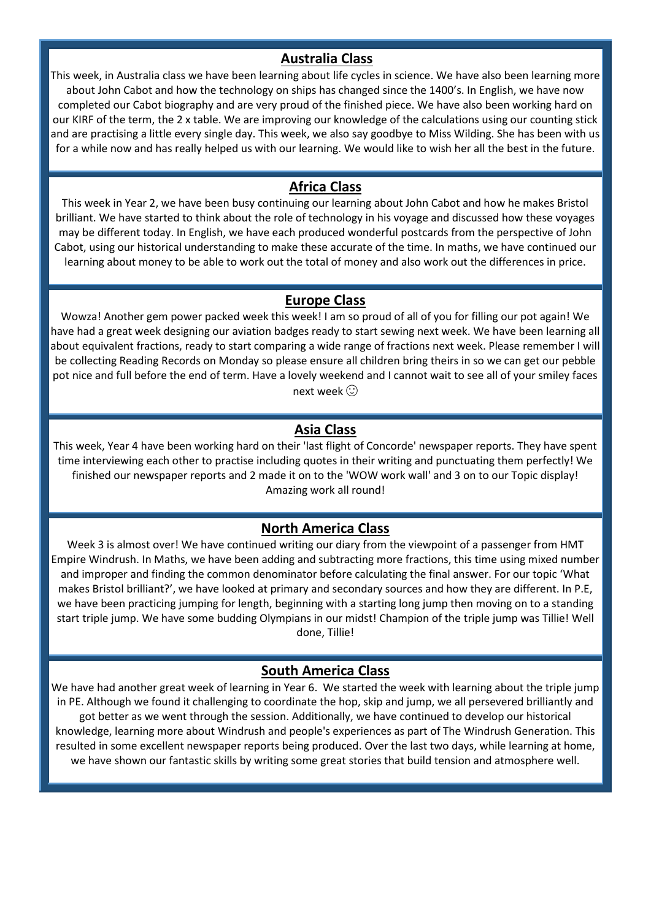#### **Australia Class**

This week, in Australia class we have been learning about life cycles in science. We have also been learning more about John Cabot and how the technology on ships has changed since the 1400's. In English, we have now completed our Cabot biography and are very proud of the finished piece. We have also been working hard on our KIRF of the term, the 2 x table. We are improving our knowledge of the calculations using our counting stick and are practising a little every single day. This week, we also say goodbye to Miss Wilding. She has been with us for a while now and has really helped us with our learning. We would like to wish her all the best in the future.

#### **Africa Class**

This week in Year 2, we have been busy continuing our learning about John Cabot and how he makes Bristol brilliant. We have started to think about the role of technology in his voyage and discussed how these voyages may be different today. In English, we have each produced wonderful postcards from the perspective of John Cabot, using our historical understanding to make these accurate of the time. In maths, we have continued our learning about money to be able to work out the total of money and also work out the differences in price.

#### **Europe Class**

Wowza! Another gem power packed week this week! I am so proud of all of you for filling our pot again! We have had a great week designing our aviation badges ready to start sewing next week. We have been learning all about equivalent fractions, ready to start comparing a wide range of fractions next week. Please remember I will be collecting Reading Records on Monday so please ensure all children bring theirs in so we can get our pebble pot nice and full before the end of term. Have a lovely weekend and I cannot wait to see all of your smiley faces next week $\odot$ 

#### **Asia Class**

This week, Year 4 have been working hard on their 'last flight of Concorde' newspaper reports. They have spent time interviewing each other to practise including quotes in their writing and punctuating them perfectly! We finished our newspaper reports and 2 made it on to the 'WOW work wall' and 3 on to our Topic display! Amazing work all round!

#### **North America Class**

Week 3 is almost over! We have continued writing our diary from the viewpoint of a passenger from HMT Empire Windrush. In Maths, we have been adding and subtracting more fractions, this time using mixed number and improper and finding the common denominator before calculating the final answer. For our topic 'What makes Bristol brilliant?', we have looked at primary and secondary sources and how they are different. In P.E, we have been practicing jumping for length, beginning with a starting long jump then moving on to a standing start triple jump. We have some budding Olympians in our midst! Champion of the triple jump was Tillie! Well done, Tillie!

#### **South America Class**

We have had another great week of learning in Year 6. We started the week with learning about the triple jump in PE. Although we found it challenging to coordinate the hop, skip and jump, we all persevered brilliantly and got better as we went through the session. Additionally, we have continued to develop our historical knowledge, learning more about Windrush and people's experiences as part of The Windrush Generation. This resulted in some excellent newspaper reports being produced. Over the last two days, while learning at home, we have shown our fantastic skills by writing some great stories that build tension and atmosphere well.